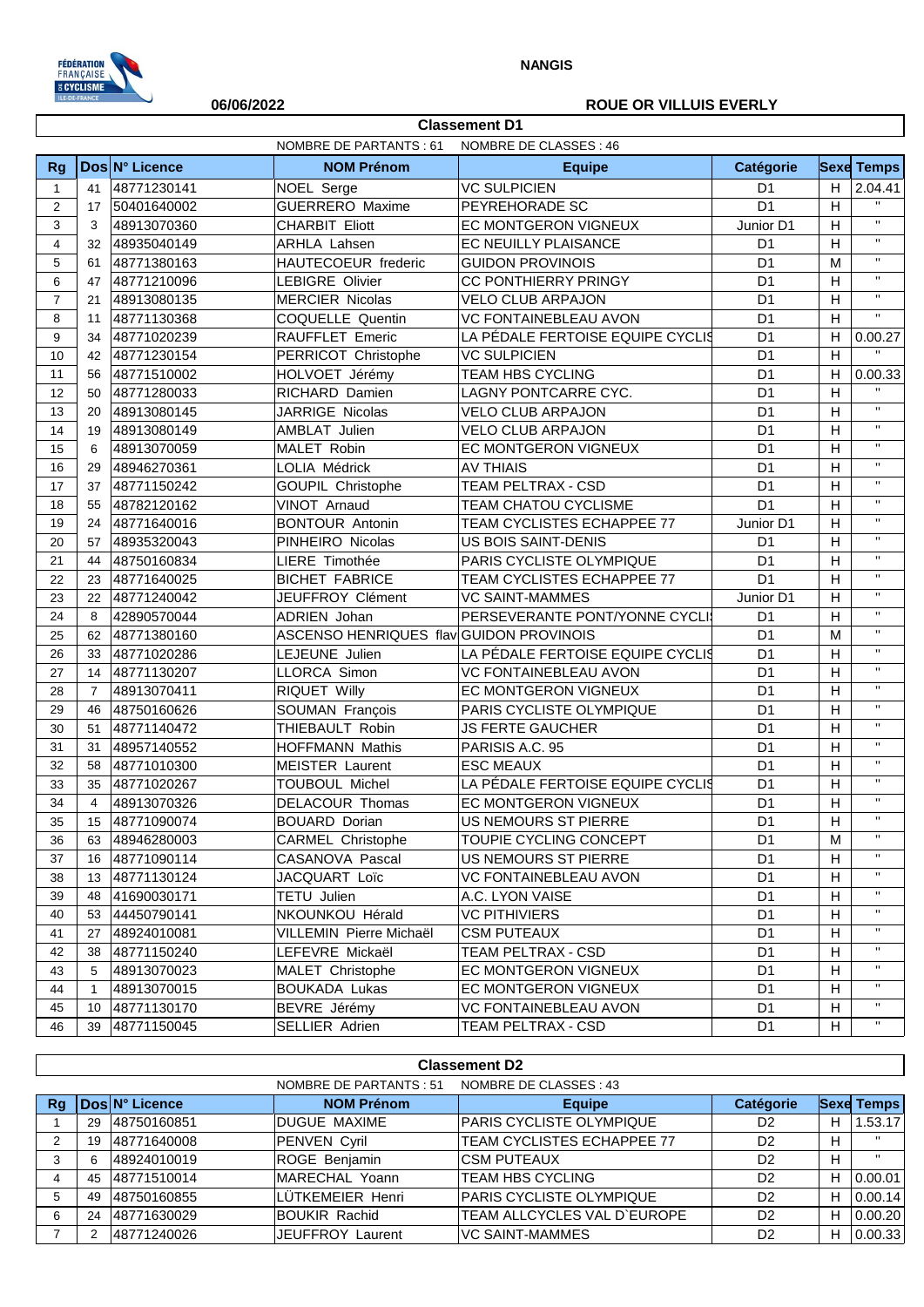

### **06/06/2022 ROUE OR VILLUIS EVERLY**

|                         | NOMBRE DE PARTANTS : 61<br>NOMBRE DE CLASSES : 46 |                |                                         |                                  |                |                           |                    |  |
|-------------------------|---------------------------------------------------|----------------|-----------------------------------------|----------------------------------|----------------|---------------------------|--------------------|--|
| Rg                      |                                                   | Dos N° Licence | <b>NOM Prénom</b>                       | <b>Equipe</b>                    | Catégorie      |                           | <b>Sexe Temps</b>  |  |
| $\mathbf{1}$            | 41                                                | 48771230141    | NOEL Serge                              | <b>VC SULPICIEN</b>              | D <sub>1</sub> | H                         | 2.04.41            |  |
| 2                       | 17                                                | 50401640002    | <b>GUERRERO Maxime</b>                  | PEYREHORADE SC                   | D <sub>1</sub> | H                         | $\mathbf{H}$       |  |
| 3                       | 3                                                 | 48913070360    | <b>CHARBIT Eliott</b>                   | EC MONTGERON VIGNEUX             | Junior D1      | H                         | $\mathbf{H}$       |  |
| $\overline{\mathbf{4}}$ | 32                                                | 48935040149    | ARHLA Lahsen                            | EC NEUILLY PLAISANCE             | D <sub>1</sub> | $\boldsymbol{\mathsf{H}}$ | $\mathbf{H}$       |  |
| 5                       | 61                                                | 48771380163    | HAUTECOEUR frederic                     | <b>GUIDON PROVINOIS</b>          | D <sub>1</sub> | M                         | $\mathbf{H}$       |  |
| 6                       | 47                                                | 48771210096    | <b>LEBIGRE Olivier</b>                  | CC PONTHIERRY PRINGY             | D <sub>1</sub> | $\boldsymbol{\mathsf{H}}$ | $\mathbf{H}$       |  |
| $\overline{7}$          | 21                                                | 48913080135    | <b>MERCIER Nicolas</b>                  | <b>VELO CLUB ARPAJON</b>         | D <sub>1</sub> | $\boldsymbol{\mathsf{H}}$ | $\mathbf{H}$       |  |
| 8                       | 11                                                | 48771130368    | COQUELLE Quentin                        | <b>VC FONTAINEBLEAU AVON</b>     | D <sub>1</sub> | H                         | $\mathbf{H}$       |  |
| 9                       | 34                                                | 48771020239    | RAUFFLET Emeric                         | LA PÉDALE FERTOISE EQUIPE CYCLIS | D <sub>1</sub> | H                         | 0.00.27            |  |
| 10                      | 42                                                | 48771230154    | PERRICOT Christophe                     | <b>VC SULPICIEN</b>              | D <sub>1</sub> | H                         | $\bar{\mathbf{H}}$ |  |
| 11                      | 56                                                | 48771510002    | HOLVOET Jérémy                          | <b>TEAM HBS CYCLING</b>          | D <sub>1</sub> | $\boldsymbol{\mathsf{H}}$ | 0.00.33            |  |
| 12                      | 50                                                | 48771280033    | RICHARD Damien                          | LAGNY PONTCARRE CYC.             | D <sub>1</sub> | H                         |                    |  |
| 13                      | 20                                                | 48913080145    | JARRIGE Nicolas                         | <b>VELO CLUB ARPAJON</b>         | D <sub>1</sub> | $\boldsymbol{\mathsf{H}}$ | $\mathbf{H}$       |  |
| 14                      | 19                                                | 48913080149    | AMBLAT Julien                           | <b>VELO CLUB ARPAJON</b>         | D <sub>1</sub> | $\boldsymbol{\mathsf{H}}$ | $\mathbf{H}$       |  |
| 15                      | 6                                                 | 48913070059    | MALET Robin                             | EC MONTGERON VIGNEUX             | D <sub>1</sub> | H                         | $\mathbf{H}$       |  |
| 16                      | 29                                                | 48946270361    | LOLIA Médrick                           | <b>AV THIAIS</b>                 | D <sub>1</sub> | H                         | $\mathbf{H}$       |  |
| 17                      | 37                                                | 48771150242    | <b>GOUPIL Christophe</b>                | TEAM PELTRAX - CSD               | D <sub>1</sub> | H                         | $\mathbf{H}$       |  |
| 18                      | 55                                                | 48782120162    | VINOT Arnaud                            | TEAM CHATOU CYCLISME             | D <sub>1</sub> | H                         | $\mathbf{H}$       |  |
| 19                      | 24                                                | 48771640016    | <b>BONTOUR Antonin</b>                  | TEAM CYCLISTES ECHAPPEE 77       | Junior D1      | H                         | $\mathbf{H}$       |  |
| 20                      | 57                                                | 48935320043    | PINHEIRO Nicolas                        | US BOIS SAINT-DENIS              | D <sub>1</sub> | H                         | $\mathbf{H}$       |  |
| 21                      | 44                                                | 48750160834    | LIERE Timothée                          | PARIS CYCLISTE OLYMPIQUE         | D <sub>1</sub> | $\boldsymbol{\mathsf{H}}$ | $\mathbf{H}$       |  |
| 22                      | 23                                                | 48771640025    | <b>BICHET FABRICE</b>                   | TEAM CYCLISTES ECHAPPEE 77       | D <sub>1</sub> | H                         | $\mathbf{H}$       |  |
| 23                      | 22                                                | 48771240042    | JEUFFROY Clément                        | <b>VC SAINT-MAMMES</b>           | Junior D1      | H                         | $\mathbf{H}$       |  |
| 24                      | 8                                                 | 42890570044    | ADRIEN Johan                            | PERSEVERANTE PONT/YONNE CYCLI    | D <sub>1</sub> | $\boldsymbol{\mathsf{H}}$ | $\mathbf{H}$       |  |
| 25                      | 62                                                | 48771380160    | ASCENSO HENRIQUES flav GUIDON PROVINOIS |                                  | D <sub>1</sub> | M                         | $\mathbf{H}$       |  |
| 26                      | 33                                                | 48771020286    | LEJEUNE Julien                          | LA PÉDALE FERTOISE EQUIPE CYCLIS | D <sub>1</sub> | H                         | $\mathbf{H}$       |  |
| 27                      | 14                                                | 48771130207    | LLORCA Simon                            | <b>VC FONTAINEBLEAU AVON</b>     | D <sub>1</sub> | H                         | $\mathbf{H}$       |  |
| 28                      | $\overline{7}$                                    | 48913070411    | RIQUET Willy                            | EC MONTGERON VIGNEUX             | D <sub>1</sub> | H                         | $\mathbf{H}$       |  |
| 29                      | 46                                                | 48750160626    | SOUMAN François                         | PARIS CYCLISTE OLYMPIQUE         | D <sub>1</sub> | H                         | $\mathbf{H}$       |  |
| 30                      | 51                                                | 48771140472    | THIEBAULT Robin                         | <b>JS FERTE GAUCHER</b>          | D <sub>1</sub> | H                         | $\mathbf{H}$       |  |
| 31                      | 31                                                | 48957140552    | <b>HOFFMANN Mathis</b>                  | PARISIS A.C. 95                  | D <sub>1</sub> | Н                         | $\mathbf{H}$       |  |
| 32                      | 58                                                | 48771010300    | <b>MEISTER Laurent</b>                  | <b>ESC MEAUX</b>                 | D <sub>1</sub> | H                         | $\mathbf{H}$       |  |
| 33                      | 35                                                | 48771020267    | <b>TOUBOUL Michel</b>                   | LA PÉDALE FERTOISE EQUIPE CYCLIS | D <sub>1</sub> | H                         | $\mathbf{H}$       |  |
| 34                      | $\overline{4}$                                    | 48913070326    | DELACOUR Thomas                         | EC MONTGERON VIGNEUX             | D <sub>1</sub> | Н                         | $\mathbf{H}$       |  |
| 35                      | 15                                                | 48771090074    | <b>BOUARD Dorian</b>                    | US NEMOURS ST PIERRE             | D <sub>1</sub> | H                         | $\mathbf{H}$       |  |
| 36                      | 63                                                | 48946280003    | <b>CARMEL Christophe</b>                | TOUPIE CYCLING CONCEPT           | D <sub>1</sub> | м                         | $\mathbf{H}$       |  |
| 37                      | 16                                                | 48771090114    | CASANOVA Pascal                         | US NEMOURS ST PIERRE             | D <sub>1</sub> | Н                         | $\mathbf{H}$       |  |
| 38                      | 13                                                | 48771130124    | JACQUART Loïc                           | VC FONTAINEBLEAU AVON            | D <sub>1</sub> | Н                         | $\mathbf{H}$       |  |
| 39                      | 48                                                | 41690030171    | TETU Julien                             | A.C. LYON VAISE                  | D <sub>1</sub> | Н                         | $\mathbf{H}$       |  |
| 40                      | 53                                                | 44450790141    | NKOUNKOU Hérald                         | <b>VC PITHIVIERS</b>             | D <sub>1</sub> | H                         | $\mathbf{H}$       |  |
| 41                      | 27                                                | 48924010081    | VILLEMIN Pierre Michaël                 | <b>CSM PUTEAUX</b>               | D <sub>1</sub> | H                         | $\mathbf{H}$       |  |
| 42                      | 38                                                | 48771150240    | LEFEVRE Mickaël                         | TEAM PELTRAX - CSD               | D <sub>1</sub> | H                         | $\mathbf{H}$       |  |
| 43                      | 5                                                 | 48913070023    | MALET Christophe                        | EC MONTGERON VIGNEUX             | D <sub>1</sub> | Н                         | $\mathbf{H}$       |  |
| 44                      | $\mathbf{1}$                                      | 48913070015    | <b>BOUKADA Lukas</b>                    | EC MONTGERON VIGNEUX             | D <sub>1</sub> | Н                         | $\pmb{\mathsf{H}}$ |  |
| 45                      | 10                                                | 48771130170    | BEVRE Jérémy                            | <b>VC FONTAINEBLEAU AVON</b>     | D <sub>1</sub> | H                         | $\pmb{\mathsf{H}}$ |  |
| 46                      | 39                                                | 48771150045    | SELLIER Adrien                          | TEAM PELTRAX - CSD               | D <sub>1</sub> | Н                         | $\pmb{\mathsf{H}}$ |  |

**Classement D1**

#### **Classement D2**

|    |    |                        | NOMBRE DE PARTANTS : 51 | NOMBRE DE CLASSES : 43            |                |   |                   |
|----|----|------------------------|-------------------------|-----------------------------------|----------------|---|-------------------|
| Rg |    | <b>IDosIN° Licence</b> | <b>NOM Prénom</b>       | <b>Equipe</b>                     | Catégorie      |   | <b>Sexe Temps</b> |
|    | 29 | 48750160851            | <b>IDUGUE MAXIME</b>    | <b>PARIS CYCLISTE OLYMPIQUE</b>   | D <sub>2</sub> | н | 1.53.17           |
|    | 19 | 48771640008            | PENVEN Cyril            | <b>TEAM CYCLISTES ECHAPPEE 77</b> | D <sub>2</sub> | H | $\mathbf{H}$      |
|    | 6  | 48924010019            | ROGE Benjamin           | ICSM PUTEAUX                      | D <sub>2</sub> | н |                   |
|    | 45 | 48771510014            | MARECHAL Yoann          | <b>TEAM HBS CYCLING</b>           | D <sub>2</sub> | н | 0.00.01           |
| 5  | 49 | 48750160855            | LÜTKEMEIER Henri        | <b>PARIS CYCLISTE OLYMPIQUE</b>   | D <sub>2</sub> | н | 0.00.14           |
| 6  | 24 | 48771630029            | <b>BOUKIR Rachid</b>    | TEAM ALLCYCLES VAL D'EUROPE       | D <sub>2</sub> | н | 0.00.20           |
|    |    | 48771240026            | <b>JEUFFROY Laurent</b> | <b>VC SAINT-MAMMES</b>            | D <sub>2</sub> | н | 0.00.33           |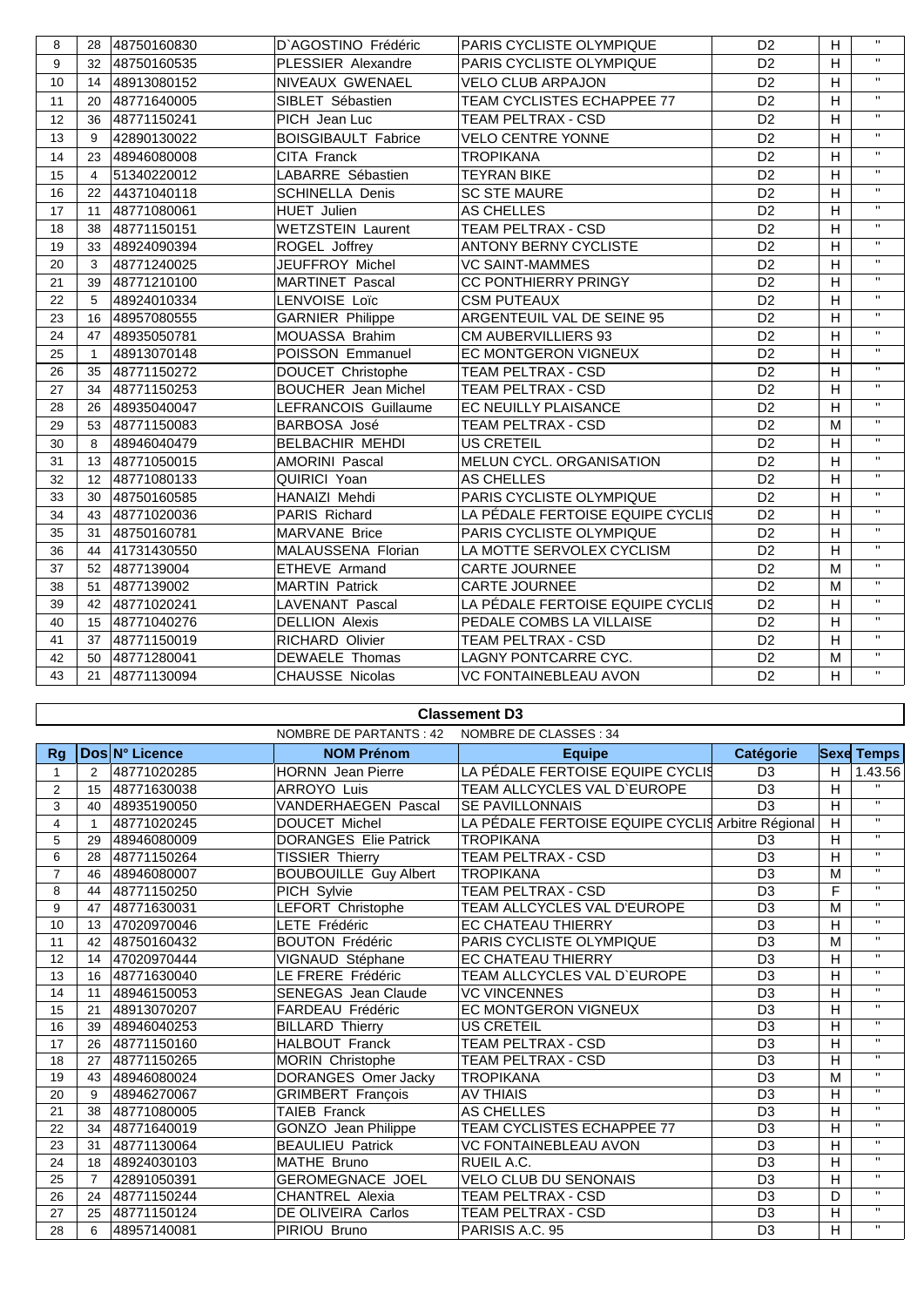| 8  | 28             | 48750160830 | D'AGOSTINO Frédéric        | PARIS CYCLISTE OLYMPIQUE         | D <sub>2</sub> | H              | $\mathbf{H}$            |
|----|----------------|-------------|----------------------------|----------------------------------|----------------|----------------|-------------------------|
| 9  | 32             | 48750160535 | PLESSIER Alexandre         | PARIS CYCLISTE OLYMPIQUE         | D <sub>2</sub> | H              | $\mathbf{H}$            |
| 10 | 14             | 48913080152 | NIVEAUX GWENAEL            | <b>VELO CLUB ARPAJON</b>         | D <sub>2</sub> | H              | $\mathbf{H}$            |
| 11 | 20             | 48771640005 | SIBLET Sébastien           | TEAM CYCLISTES ECHAPPEE 77       | D <sub>2</sub> | H              | $\mathbf{H}$            |
| 12 | 36             | 48771150241 | PICH Jean Luc              | <b>TEAM PELTRAX - CSD</b>        | D <sub>2</sub> | H              | $\mathbf{H}$            |
| 13 | 9              | 42890130022 | <b>BOISGIBAULT Fabrice</b> | <b>VELO CENTRE YONNE</b>         | D <sub>2</sub> | $\mathsf{H}$   | $\mathbf{H}$            |
| 14 | 23             | 48946080008 | CITA Franck                | <b>TROPIKANA</b>                 | D <sub>2</sub> | H              | $\mathbf{H}$            |
| 15 | $\overline{4}$ | 51340220012 | LABARRE Sébastien          | <b>TEYRAN BIKE</b>               | D <sub>2</sub> | H              | $\overline{\mathbf{u}}$ |
| 16 | 22             | 44371040118 | <b>SCHINELLA Denis</b>     | <b>SC STE MAURE</b>              | D <sub>2</sub> | H              | $\mathbf{H}$            |
| 17 | 11             | 48771080061 | <b>HUET Julien</b>         | AS CHELLES                       | D <sub>2</sub> | H              | $\mathbf{H}$            |
| 18 | 38             | 48771150151 | <b>WETZSTEIN Laurent</b>   | TEAM PELTRAX - CSD               | D <sub>2</sub> | H              | $\mathbf{H}$            |
| 19 | 33             | 48924090394 | ROGEL Joffrey              | <b>ANTONY BERNY CYCLISTE</b>     | D <sub>2</sub> | H              | $\mathbf{H}$            |
| 20 | 3              | 48771240025 | JEUFFROY Michel            | <b>VC SAINT-MAMMES</b>           | D <sub>2</sub> | H              | $\mathbf{H}$            |
| 21 | 39             | 48771210100 | <b>MARTINET Pascal</b>     | <b>CC PONTHIERRY PRINGY</b>      | D <sub>2</sub> | H              | $\mathbf{H}$            |
| 22 | 5              | 48924010334 | LENVOISE Loïc              | <b>CSM PUTEAUX</b>               | D <sub>2</sub> | $\overline{H}$ | $\mathbf{H}$            |
| 23 | 16             | 48957080555 | <b>GARNIER Philippe</b>    | ARGENTEUIL VAL DE SEINE 95       | D <sub>2</sub> | H              | $\mathbf{H}$            |
| 24 | 47             | 48935050781 | MOUASSA Brahim             | CM AUBERVILLIERS 93              | D <sub>2</sub> | H              | $\mathbf{H}$            |
| 25 | $\mathbf{1}$   | 48913070148 | POISSON Emmanuel           | EC MONTGERON VIGNEUX             | D <sub>2</sub> | H              | $\mathbf{H}$            |
| 26 | 35             | 48771150272 | DOUCET Christophe          | TEAM PELTRAX - CSD               | D <sub>2</sub> | H              | $\mathbf{u}$            |
| 27 | 34             | 48771150253 | <b>BOUCHER</b> Jean Michel | TEAM PELTRAX - CSD               | D <sub>2</sub> | H              | $\mathbf{H}$            |
| 28 | 26             | 48935040047 | LEFRANCOIS Guillaume       | EC NEUILLY PLAISANCE             | D <sub>2</sub> | H              | $\mathbf{H}$            |
| 29 | 53             | 48771150083 | BARBOSA José               | TEAM PELTRAX - CSD               | D <sub>2</sub> | M              | $\mathbf{H}$            |
| 30 | 8              | 48946040479 | BELBACHIR MEHDI            | <b>US CRETEIL</b>                | D <sub>2</sub> | $\overline{H}$ | $\mathbf{u}$            |
| 31 | 13             | 48771050015 | <b>AMORINI Pascal</b>      | MELUN CYCL. ORGANISATION         | D <sub>2</sub> | H              | $\mathbf{H}$            |
| 32 | 12             | 48771080133 | QUIRICI Yoan               | AS CHELLES                       | D <sub>2</sub> | H              | $\mathbf{H}$            |
| 33 | 30             | 48750160585 | HANAIZI Mehdi              | PARIS CYCLISTE OLYMPIQUE         | D <sub>2</sub> | H              | $\mathbf{H}$            |
| 34 | 43             | 48771020036 | PARIS Richard              | LA PÉDALE FERTOISE EQUIPE CYCLIS | D <sub>2</sub> | H              | $\mathbf{u}$            |
| 35 | 31             | 48750160781 | <b>MARVANE Brice</b>       | PARIS CYCLISTE OLYMPIQUE         | D <sub>2</sub> | H              | $\mathbf{H}$            |
| 36 | 44             | 41731430550 | <b>MALAUSSENA Florian</b>  | LA MOTTE SERVOLEX CYCLISM        | D <sub>2</sub> | H              | $\mathbf{H}$            |
| 37 | 52             | 4877139004  | ETHEVE Armand              | <b>CARTE JOURNEE</b>             | D <sub>2</sub> | M              | $\mathbf{H}$            |
| 38 | 51             | 4877139002  | <b>MARTIN Patrick</b>      | <b>CARTE JOURNEE</b>             | D <sub>2</sub> | M              | $\mathbf{H}$            |
| 39 | 42             | 48771020241 | <b>LAVENANT Pascal</b>     | LA PÉDALE FERTOISE EQUIPE CYCLIS | D <sub>2</sub> | H              | $\mathbf{H}$            |
| 40 | 15             | 48771040276 | <b>DELLION Alexis</b>      | PEDALE COMBS LA VILLAISE         | D <sub>2</sub> | H              | $\mathbf{H}$            |
| 41 | 37             | 48771150019 | <b>RICHARD Olivier</b>     | TEAM PELTRAX - CSD               | D <sub>2</sub> | H              | $\mathbf{H}$            |
| 42 | 50             | 48771280041 | <b>DEWAELE Thomas</b>      | LAGNY PONTCARRE CYC.             | D <sub>2</sub> | M              | $\mathbf{H}$            |
| 43 | 21             | 48771130094 | CHAUSSE Nicolas            | VC FONTAINEBLEAU AVON            | D <sub>2</sub> | H              | $\mathbf{H}$            |

#### **Classement D3**

|                |                |                | NOMBRE DE PARTANTS : 42      | NOMBRE DE CLASSES : 34                            |                  |   |                   |
|----------------|----------------|----------------|------------------------------|---------------------------------------------------|------------------|---|-------------------|
| Rg             |                | Dos N° Licence | <b>NOM Prénom</b>            | <b>Equipe</b>                                     | <b>Catégorie</b> |   | <b>Sexe Temps</b> |
| $\mathbf{1}$   | $\overline{2}$ | 48771020285    | <b>HORNN</b> Jean Pierre     | LA PÉDALE FERTOISE EQUIPE CYCLIS                  | D <sub>3</sub>   | H | 1.43.56           |
| $\overline{2}$ | 15             | 48771630038    | <b>ARROYO Luis</b>           | TEAM ALLCYCLES VAL D'EUROPE                       | D <sub>3</sub>   | H | $\mathbf{H}$      |
| 3              | 40             | 48935190050    | <b>VANDERHAEGEN Pascal</b>   | <b>SE PAVILLONNAIS</b>                            | D <sub>3</sub>   | H | $\mathbf{H}$      |
| 4              |                | 48771020245    | <b>DOUCET Michel</b>         | LA PÉDALE FERTOISE EQUIPE CYCLIS Arbitre Régional |                  | H | $\mathbf{H}$      |
| 5              | 29             | 48946080009    | <b>DORANGES Elie Patrick</b> | <b>TROPIKANA</b>                                  | D <sub>3</sub>   | H | $\mathbf{H}$      |
| 6              | 28             | 48771150264    | <b>TISSIER Thierry</b>       | <b>TEAM PELTRAX - CSD</b>                         | D <sub>3</sub>   | H | $\overline{u}$    |
| $\overline{7}$ | 46             | 48946080007    | <b>BOUBOUILLE Guy Albert</b> | <b>TROPIKANA</b>                                  | D <sub>3</sub>   | M | $\mathbf{H}$      |
| 8              | 44             | 48771150250    | PICH Sylvie                  | TEAM PELTRAX - CSD                                | D <sub>3</sub>   | F | $\mathbf{H}$      |
| 9              | 47             | 48771630031    | LEFORT Christophe            | TEAM ALLCYCLES VAL D'EUROPE                       | D <sub>3</sub>   | M | $\mathbf{H}$      |
| 10             | 13             | 47020970046    | LETE Frédéric                | <b>EC CHATEAU THIERRY</b>                         | D <sub>3</sub>   | H | $\mathbf{H}$      |
| 11             | 42             | 48750160432    | <b>BOUTON Frédéric</b>       | PARIS CYCLISTE OLYMPIQUE                          | D <sub>3</sub>   | M | $\mathbf{H}$      |
| 12             | 14             | 47020970444    | VIGNAUD Stéphane             | <b>EC CHATEAU THIERRY</b>                         | D <sub>3</sub>   | H | $\mathbf{H}$      |
| 13             | 16             | 48771630040    | LE FRERE Frédéric            | TEAM ALLCYCLES VAL D'EUROPE                       | D <sub>3</sub>   | H | $\mathbf{H}$      |
| 14             | 11             | 48946150053    | <b>SENEGAS</b> Jean Claude   | <b>VC VINCENNES</b>                               | D <sub>3</sub>   | H | $\mathbf H$       |
| 15             | 21             | 48913070207    | FARDEAU Frédéric             | EC MONTGERON VIGNEUX                              | D <sub>3</sub>   | H | $\mathbf{H}$      |
| 16             | 39             | 48946040253    | <b>BILLARD Thierry</b>       | <b>US CRETEIL</b>                                 | D <sub>3</sub>   | H | $\mathbf{H}$      |
| 17             | 26             | 48771150160    | <b>HALBOUT Franck</b>        | <b>TEAM PELTRAX - CSD</b>                         | D <sub>3</sub>   | H | $\mathbf{H}$      |
| 18             | 27             | 48771150265    | MORIN Christophe             | <b>TEAM PELTRAX - CSD</b>                         | D <sub>3</sub>   | H | $\mathbf{H}$      |
| 19             | 43             | 48946080024    | DORANGES Omer Jacky          | <b>TROPIKANA</b>                                  | D <sub>3</sub>   | M | $\mathbf{H}$      |
| 20             | 9              | 48946270067    | <b>GRIMBERT François</b>     | <b>AV THIAIS</b>                                  | D <sub>3</sub>   | H | $\mathbf{H}$      |
| 21             | 38             | 48771080005    | TAIEB Franck                 | AS CHELLES                                        | D <sub>3</sub>   | H | $\mathbf{H}$      |
| 22             | 34             | 48771640019    | GONZO Jean Philippe          | TEAM CYCLISTES ECHAPPEE 77                        | D <sub>3</sub>   | H | $\mathbf{H}$      |
| 23             | 31             | 48771130064    | <b>BEAULIEU Patrick</b>      | <b>VC FONTAINEBLEAU AVON</b>                      | D <sub>3</sub>   | H | $\mathbf{H}$      |
| 24             | 18             | 48924030103    | MATHE Bruno                  | RUEIL A.C.                                        | D <sub>3</sub>   | H | $\mathbf{H}$      |
| 25             | $\overline{7}$ | 42891050391    | <b>GEROMEGNACE JOEL</b>      | VELO CLUB DU SENONAIS                             | D <sub>3</sub>   | H | $\mathbf{H}$      |
| 26             | 24             | 48771150244    | <b>CHANTREL Alexia</b>       | TEAM PELTRAX - CSD                                | D <sub>3</sub>   | D | $\mathbf{H}$      |
| 27             | 25             | 48771150124    | DE OLIVEIRA Carlos           | <b>TEAM PELTRAX - CSD</b>                         | D <sub>3</sub>   | H | $\mathbf{H}$      |
| 28             | 6              | 48957140081    | PIRIOU Bruno                 | PARISIS A.C. 95                                   | D <sub>3</sub>   | H | $\mathbf{H}$      |